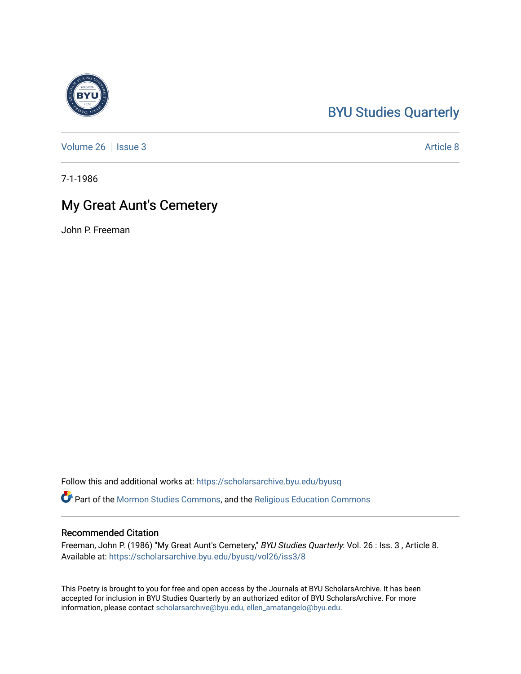## [BYU Studies Quarterly](https://scholarsarchive.byu.edu/byusq)

[Volume 26](https://scholarsarchive.byu.edu/byusq/vol26) | [Issue 3](https://scholarsarchive.byu.edu/byusq/vol26/iss3) Article 8

7-1-1986

## My Great Aunt's Cemetery

John P. Freeman

Follow this and additional works at: [https://scholarsarchive.byu.edu/byusq](https://scholarsarchive.byu.edu/byusq?utm_source=scholarsarchive.byu.edu%2Fbyusq%2Fvol26%2Fiss3%2F8&utm_medium=PDF&utm_campaign=PDFCoverPages) 

Part of the [Mormon Studies Commons](http://network.bepress.com/hgg/discipline/1360?utm_source=scholarsarchive.byu.edu%2Fbyusq%2Fvol26%2Fiss3%2F8&utm_medium=PDF&utm_campaign=PDFCoverPages), and the [Religious Education Commons](http://network.bepress.com/hgg/discipline/1414?utm_source=scholarsarchive.byu.edu%2Fbyusq%2Fvol26%2Fiss3%2F8&utm_medium=PDF&utm_campaign=PDFCoverPages) 

## Recommended Citation

Freeman, John P. (1986) "My Great Aunt's Cemetery," BYU Studies Quarterly: Vol. 26 : Iss. 3, Article 8. Available at: [https://scholarsarchive.byu.edu/byusq/vol26/iss3/8](https://scholarsarchive.byu.edu/byusq/vol26/iss3/8?utm_source=scholarsarchive.byu.edu%2Fbyusq%2Fvol26%2Fiss3%2F8&utm_medium=PDF&utm_campaign=PDFCoverPages)

This Poetry is brought to you for free and open access by the Journals at BYU ScholarsArchive. It has been accepted for inclusion in BYU Studies Quarterly by an authorized editor of BYU ScholarsArchive. For more information, please contact [scholarsarchive@byu.edu, ellen\\_amatangelo@byu.edu.](mailto:scholarsarchive@byu.edu,%20ellen_amatangelo@byu.edu)